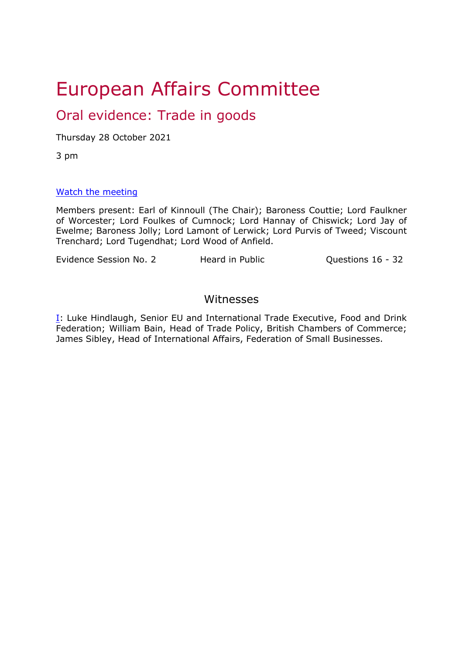# European Affairs Committee

## Oral evidence: Trade in goods

Thursday 28 October 2021

3 pm

#### [Watch](https://www.parliamentlive.tv/Event/Index/25f7a5ee-9f0b-415f-bf26-10f086e9b86e) [the](https://www.parliamentlive.tv/Event/Index/25f7a5ee-9f0b-415f-bf26-10f086e9b86e) [meeting](https://www.parliamentlive.tv/Event/Index/25f7a5ee-9f0b-415f-bf26-10f086e9b86e)

Members present: Earl of Kinnoull (The Chair); Baroness Couttie; Lord Faulkner of Worcester; Lord Foulkes of Cumnock; Lord Hannay of Chiswick; Lord Jay of Ewelme; Baroness Jolly; Lord Lamont of Lerwick; Lord Purvis of Tweed; Viscount Trenchard; Lord Tugendhat; Lord Wood of Anfield.

Evidence Session No. 2 Heard in Public Cuestions 16 - 32

### Witnesses

[I:](#page-1-0) Luke Hindlaugh, Senior EU and International Trade Executive, Food and Drink Federation; William Bain, Head of Trade Policy, British Chambers of Commerce; James Sibley, Head of International Affairs, Federation of Small Businesses.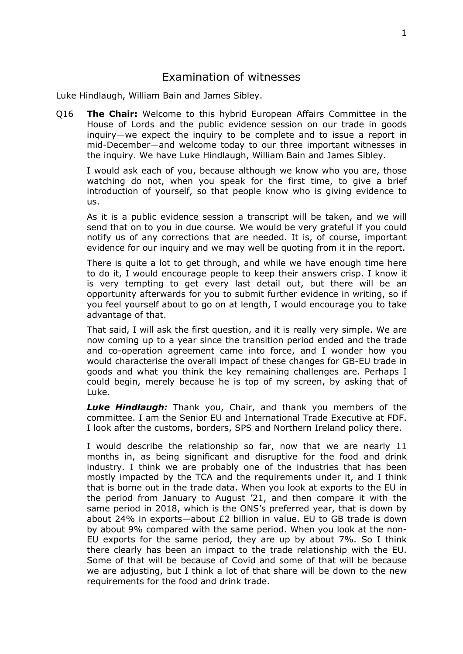#### <span id="page-1-0"></span>Examination of witnesses

Luke Hindlaugh, William Bain and James Sibley.

Q16 **The Chair:** Welcome to this hybrid European Affairs Committee in the House of Lords and the public evidence session on our trade in goods inquiry—we expect the inquiry to be complete and to issue a report in mid-December—and welcome today to our three important witnesses in the inquiry. We have Luke Hindlaugh, William Bain and James Sibley.

I would ask each of you, because although we know who you are, those watching do not, when you speak for the first time, to give a brief introduction of yourself, so that people know who is giving evidence to us.

As it is a public evidence session a transcript will be taken, and we will send that on to you in due course. We would be very grateful if you could notify us of any corrections that are needed. It is, of course, important evidence for our inquiry and we may well be quoting from it in the report.

There is quite a lot to get through, and while we have enough time here to do it, I would encourage people to keep their answers crisp. I know it is very tempting to get every last detail out, but there will be an opportunity afterwards for you to submit further evidence in writing, so if you feel yourself about to go on at length, I would encourage you to take advantage of that.

That said, I will ask the first question, and it is really very simple. We are now coming up to a year since the transition period ended and the trade and co-operation agreement came into force, and I wonder how you would characterise the overall impact of these changes for GB-EU trade in goods and what you think the key remaining challenges are. Perhaps I could begin, merely because he is top of my screen, by asking that of Luke.

*Luke Hindlaugh:* Thank you, Chair, and thank you members of the committee. I am the Senior EU and International Trade Executive at FDF. I look after the customs, borders, SPS and Northern Ireland policy there.

I would describe the relationship so far, now that we are nearly 11 months in, as being significant and disruptive for the food and drink industry. I think we are probably one of the industries that has been mostly impacted by the TCA and the requirements under it, and I think that is borne out in the trade data. When you look at exports to the EU in the period from January to August '21, and then compare it with the same period in 2018, which is the ONS's preferred year, that is down by about 24% in exports—about £2 billion in value. EU to GB trade is down by about 9% compared with the same period. When you look at the non-EU exports for the same period, they are up by about 7%. So I think there clearly has been an impact to the trade relationship with the EU. Some of that will be because of Covid and some of that will be because we are adjusting, but I think a lot of that share will be down to the new requirements for the food and drink trade.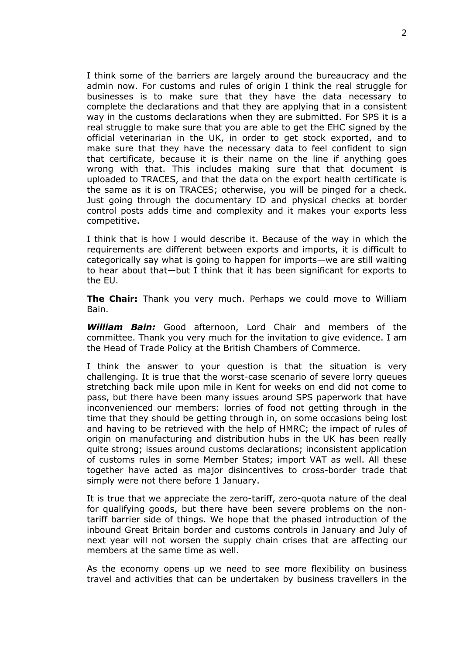I think some of the barriers are largely around the bureaucracy and the admin now. For customs and rules of origin I think the real struggle for businesses is to make sure that they have the data necessary to complete the declarations and that they are applying that in a consistent way in the customs declarations when they are submitted. For SPS it is a real struggle to make sure that you are able to get the EHC signed by the official veterinarian in the UK, in order to get stock exported, and to make sure that they have the necessary data to feel confident to sign that certificate, because it is their name on the line if anything goes wrong with that. This includes making sure that that document is uploaded to TRACES, and that the data on the export health certificate is the same as it is on TRACES; otherwise, you will be pinged for a check. Just going through the documentary ID and physical checks at border control posts adds time and complexity and it makes your exports less competitive.

I think that is how I would describe it. Because of the way in which the requirements are different between exports and imports, it is difficult to categorically say what is going to happen for imports—we are still waiting to hear about that—but I think that it has been significant for exports to the EU.

**The Chair:** Thank you very much. Perhaps we could move to William Bain.

*William Bain:* Good afternoon, Lord Chair and members of the committee. Thank you very much for the invitation to give evidence. I am the Head of Trade Policy at the British Chambers of Commerce.

I think the answer to your question is that the situation is very challenging. It is true that the worst-case scenario of severe lorry queues stretching back mile upon mile in Kent for weeks on end did not come to pass, but there have been many issues around SPS paperwork that have inconvenienced our members: lorries of food not getting through in the time that they should be getting through in, on some occasions being lost and having to be retrieved with the help of HMRC; the impact of rules of origin on manufacturing and distribution hubs in the UK has been really quite strong; issues around customs declarations; inconsistent application of customs rules in some Member States; import VAT as well. All these together have acted as major disincentives to cross-border trade that simply were not there before 1 January.

It is true that we appreciate the zero-tariff, zero-quota nature of the deal for qualifying goods, but there have been severe problems on the nontariff barrier side of things. We hope that the phased introduction of the inbound Great Britain border and customs controls in January and July of next year will not worsen the supply chain crises that are affecting our members at the same time as well.

As the economy opens up we need to see more flexibility on business travel and activities that can be undertaken by business travellers in the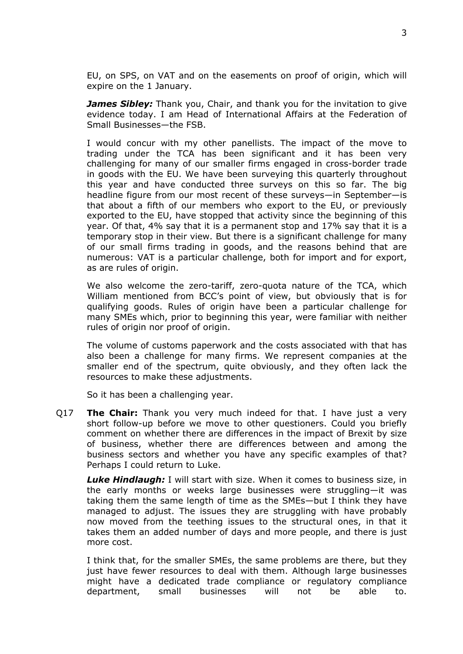EU, on SPS, on VAT and on the easements on proof of origin, which will expire on the 1 January.

*James Sibley:* Thank you, Chair, and thank you for the invitation to give evidence today. I am Head of International Affairs at the Federation of Small Businesses—the FSB.

I would concur with my other panellists. The impact of the move to trading under the TCA has been significant and it has been very challenging for many of our smaller firms engaged in cross-border trade in goods with the EU. We have been surveying this quarterly throughout this year and have conducted three surveys on this so far. The big headline figure from our most recent of these surveys—in September—is that about a fifth of our members who export to the EU, or previously exported to the EU, have stopped that activity since the beginning of this year. Of that, 4% say that it is a permanent stop and 17% say that it is a temporary stop in their view. But there is a significant challenge for many of our small firms trading in goods, and the reasons behind that are numerous: VAT is a particular challenge, both for import and for export, as are rules of origin.

We also welcome the zero-tariff, zero-quota nature of the TCA, which William mentioned from BCC's point of view, but obviously that is for qualifying goods. Rules of origin have been a particular challenge for many SMEs which, prior to beginning this year, were familiar with neither rules of origin nor proof of origin.

The volume of customs paperwork and the costs associated with that has also been a challenge for many firms. We represent companies at the smaller end of the spectrum, quite obviously, and they often lack the resources to make these adjustments.

So it has been a challenging year.

Q17 **The Chair:** Thank you very much indeed for that. I have just a very short follow-up before we move to other questioners. Could you briefly comment on whether there are differences in the impact of Brexit by size of business, whether there are differences between and among the business sectors and whether you have any specific examples of that? Perhaps I could return to Luke.

*Luke Hindlaugh:* I will start with size. When it comes to business size, in the early months or weeks large businesses were struggling—it was taking them the same length of time as the SMEs—but I think they have managed to adjust. The issues they are struggling with have probably now moved from the teething issues to the structural ones, in that it takes them an added number of days and more people, and there is just more cost.

I think that, for the smaller SMEs, the same problems are there, but they just have fewer resources to deal with them. Although large businesses might have a dedicated trade compliance or regulatory compliance department, small businesses will not be able to.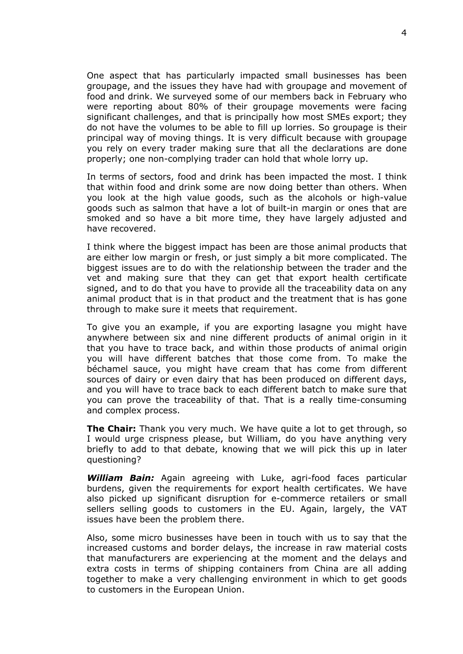One aspect that has particularly impacted small businesses has been groupage, and the issues they have had with groupage and movement of food and drink. We surveyed some of our members back in February who were reporting about 80% of their groupage movements were facing significant challenges, and that is principally how most SMEs export; they do not have the volumes to be able to fill up lorries. So groupage is their principal way of moving things. It is very difficult because with groupage you rely on every trader making sure that all the declarations are done properly; one non-complying trader can hold that whole lorry up.

In terms of sectors, food and drink has been impacted the most. I think that within food and drink some are now doing better than others. When you look at the high value goods, such as the alcohols or high-value goods such as salmon that have a lot of built-in margin or ones that are smoked and so have a bit more time, they have largely adjusted and have recovered.

I think where the biggest impact has been are those animal products that are either low margin or fresh, or just simply a bit more complicated. The biggest issues are to do with the relationship between the trader and the vet and making sure that they can get that export health certificate signed, and to do that you have to provide all the traceability data on any animal product that is in that product and the treatment that is has gone through to make sure it meets that requirement.

To give you an example, if you are exporting lasagne you might have anywhere between six and nine different products of animal origin in it that you have to trace back, and within those products of animal origin you will have different batches that those come from. To make the béchamel sauce, you might have cream that has come from different sources of dairy or even dairy that has been produced on different days, and you will have to trace back to each different batch to make sure that you can prove the traceability of that. That is a really time-consuming and complex process.

**The Chair:** Thank you very much. We have quite a lot to get through, so I would urge crispness please, but William, do you have anything very briefly to add to that debate, knowing that we will pick this up in later questioning?

*William Bain:* Again agreeing with Luke, agri-food faces particular burdens, given the requirements for export health certificates. We have also picked up significant disruption for e-commerce retailers or small sellers selling goods to customers in the EU. Again, largely, the VAT issues have been the problem there.

Also, some micro businesses have been in touch with us to say that the increased customs and border delays, the increase in raw material costs that manufacturers are experiencing at the moment and the delays and extra costs in terms of shipping containers from China are all adding together to make a very challenging environment in which to get goods to customers in the European Union.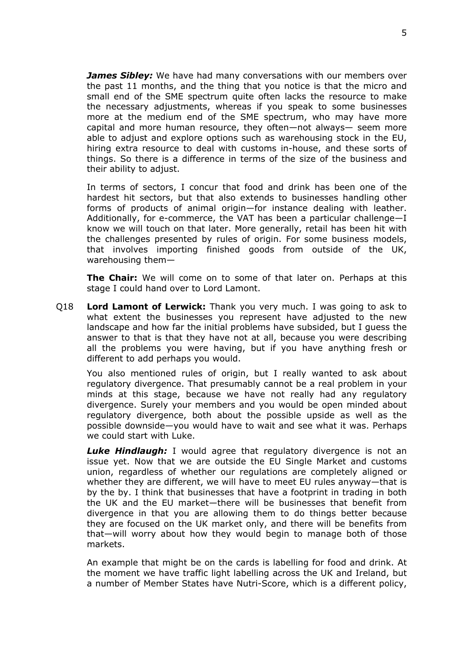*James Sibley:* We have had many conversations with our members over the past 11 months, and the thing that you notice is that the micro and small end of the SME spectrum quite often lacks the resource to make the necessary adjustments, whereas if you speak to some businesses more at the medium end of the SME spectrum, who may have more capital and more human resource, they often—not always— seem more able to adjust and explore options such as warehousing stock in the EU, hiring extra resource to deal with customs in-house, and these sorts of things. So there is a difference in terms of the size of the business and their ability to adjust.

In terms of sectors, I concur that food and drink has been one of the hardest hit sectors, but that also extends to businesses handling other forms of products of animal origin—for instance dealing with leather. Additionally, for e-commerce, the VAT has been a particular challenge—I know we will touch on that later. More generally, retail has been hit with the challenges presented by rules of origin. For some business models, that involves importing finished goods from outside of the UK, warehousing them—

**The Chair:** We will come on to some of that later on. Perhaps at this stage I could hand over to Lord Lamont.

Q18 **Lord Lamont of Lerwick:** Thank you very much. I was going to ask to what extent the businesses you represent have adjusted to the new landscape and how far the initial problems have subsided, but I guess the answer to that is that they have not at all, because you were describing all the problems you were having, but if you have anything fresh or different to add perhaps you would.

You also mentioned rules of origin, but I really wanted to ask about regulatory divergence. That presumably cannot be a real problem in your minds at this stage, because we have not really had any regulatory divergence. Surely your members and you would be open minded about regulatory divergence, both about the possible upside as well as the possible downside—you would have to wait and see what it was. Perhaps we could start with Luke.

*Luke Hindlaugh:* I would agree that regulatory divergence is not an issue yet. Now that we are outside the EU Single Market and customs union, regardless of whether our regulations are completely aligned or whether they are different, we will have to meet EU rules anyway—that is by the by. I think that businesses that have a footprint in trading in both the UK and the EU market—there will be businesses that benefit from divergence in that you are allowing them to do things better because they are focused on the UK market only, and there will be benefits from that—will worry about how they would begin to manage both of those markets.

An example that might be on the cards is labelling for food and drink. At the moment we have traffic light labelling across the UK and Ireland, but a number of Member States have Nutri-Score, which is a different policy,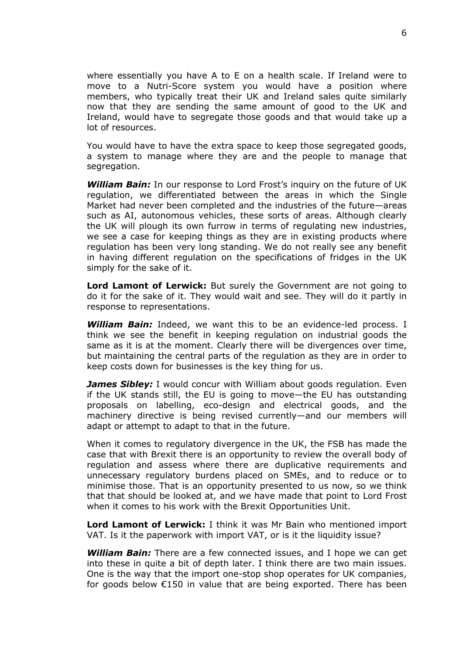where essentially you have A to E on a health scale. If Ireland were to move to a Nutri-Score system you would have a position where members, who typically treat their UK and Ireland sales quite similarly now that they are sending the same amount of good to the UK and Ireland, would have to segregate those goods and that would take up a lot of resources.

You would have to have the extra space to keep those segregated goods, a system to manage where they are and the people to manage that segregation.

*William Bain:* In our response to Lord Frost's inquiry on the future of UK regulation, we differentiated between the areas in which the Single Market had never been completed and the industries of the future—areas such as AI, autonomous vehicles, these sorts of areas. Although clearly the UK will plough its own furrow in terms of regulating new industries, we see a case for keeping things as they are in existing products where regulation has been very long standing. We do not really see any benefit in having different regulation on the specifications of fridges in the UK simply for the sake of it.

**Lord Lamont of Lerwick:** But surely the Government are not going to do it for the sake of it. They would wait and see. They will do it partly in response to representations.

*William Bain:* Indeed, we want this to be an evidence-led process. I think we see the benefit in keeping regulation on industrial goods the same as it is at the moment. Clearly there will be divergences over time, but maintaining the central parts of the regulation as they are in order to keep costs down for businesses is the key thing for us.

*James Sibley: I would concur with William about goods regulation. Even* if the UK stands still, the EU is going to move—the EU has outstanding proposals on labelling, eco-design and electrical goods, and the machinery directive is being revised currently—and our members will adapt or attempt to adapt to that in the future.

When it comes to regulatory divergence in the UK, the FSB has made the case that with Brexit there is an opportunity to review the overall body of regulation and assess where there are duplicative requirements and unnecessary regulatory burdens placed on SMEs, and to reduce or to minimise those. That is an opportunity presented to us now, so we think that that should be looked at, and we have made that point to Lord Frost when it comes to his work with the Brexit Opportunities Unit.

**Lord Lamont of Lerwick:** I think it was Mr Bain who mentioned import VAT. Is it the paperwork with import VAT, or is it the liquidity issue?

*William Bain:* There are a few connected issues, and I hope we can get into these in quite a bit of depth later. I think there are two main issues. One is the way that the import one-stop shop operates for UK companies, for goods below €150 in value that are being exported. There has been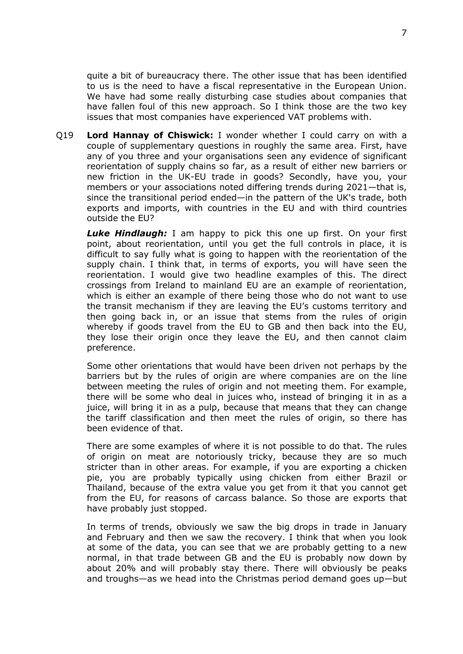quite a bit of bureaucracy there. The other issue that has been identified to us is the need to have a fiscal representative in the European Union. We have had some really disturbing case studies about companies that have fallen foul of this new approach. So I think those are the two key issues that most companies have experienced VAT problems with.

Q19 **Lord Hannay of Chiswick:** I wonder whether I could carry on with a couple of supplementary questions in roughly the same area. First, have any of you three and your organisations seen any evidence of significant reorientation of supply chains so far, as a result of either new barriers or new friction in the UK-EU trade in goods? Secondly, have you, your members or your associations noted differing trends during 2021—that is, since the transitional period ended—in the pattern of the UK's trade, both exports and imports, with countries in the EU and with third countries outside the EU?

*Luke Hindlaugh:* I am happy to pick this one up first. On your first point, about reorientation, until you get the full controls in place, it is difficult to say fully what is going to happen with the reorientation of the supply chain. I think that, in terms of exports, you will have seen the reorientation. I would give two headline examples of this. The direct crossings from Ireland to mainland EU are an example of reorientation, which is either an example of there being those who do not want to use the transit mechanism if they are leaving the EU's customs territory and then going back in, or an issue that stems from the rules of origin whereby if goods travel from the EU to GB and then back into the EU, they lose their origin once they leave the EU, and then cannot claim preference.

Some other orientations that would have been driven not perhaps by the barriers but by the rules of origin are where companies are on the line between meeting the rules of origin and not meeting them. For example, there will be some who deal in juices who, instead of bringing it in as a juice, will bring it in as a pulp, because that means that they can change the tariff classification and then meet the rules of origin, so there has been evidence of that.

There are some examples of where it is not possible to do that. The rules of origin on meat are notoriously tricky, because they are so much stricter than in other areas. For example, if you are exporting a chicken pie, you are probably typically using chicken from either Brazil or Thailand, because of the extra value you get from it that you cannot get from the EU, for reasons of carcass balance. So those are exports that have probably just stopped.

In terms of trends, obviously we saw the big drops in trade in January and February and then we saw the recovery. I think that when you look at some of the data, you can see that we are probably getting to a new normal, in that trade between GB and the EU is probably now down by about 20% and will probably stay there. There will obviously be peaks and troughs—as we head into the Christmas period demand goes up—but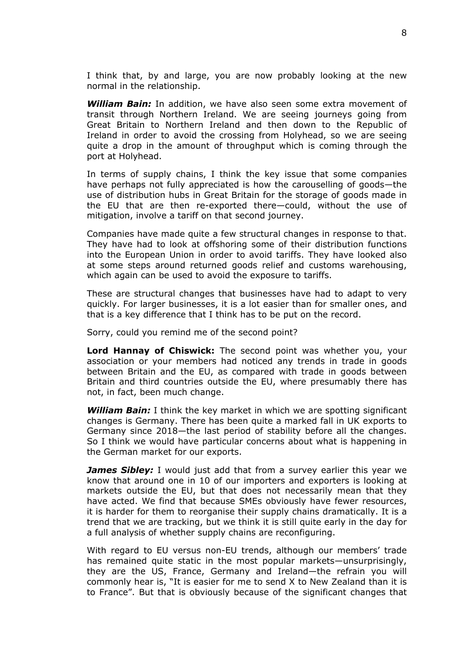I think that, by and large, you are now probably looking at the new normal in the relationship.

*William Bain:* In addition, we have also seen some extra movement of transit through Northern Ireland. We are seeing journeys going from Great Britain to Northern Ireland and then down to the Republic of Ireland in order to avoid the crossing from Holyhead, so we are seeing quite a drop in the amount of throughput which is coming through the port at Holyhead.

In terms of supply chains, I think the key issue that some companies have perhaps not fully appreciated is how the carouselling of goods—the use of distribution hubs in Great Britain for the storage of goods made in the EU that are then re-exported there—could, without the use of mitigation, involve a tariff on that second journey.

Companies have made quite a few structural changes in response to that. They have had to look at offshoring some of their distribution functions into the European Union in order to avoid tariffs. They have looked also at some steps around returned goods relief and customs warehousing, which again can be used to avoid the exposure to tariffs.

These are structural changes that businesses have had to adapt to very quickly. For larger businesses, it is a lot easier than for smaller ones, and that is a key difference that I think has to be put on the record.

Sorry, could you remind me of the second point?

**Lord Hannay of Chiswick:** The second point was whether you, your association or your members had noticed any trends in trade in goods between Britain and the EU, as compared with trade in goods between Britain and third countries outside the EU, where presumably there has not, in fact, been much change.

*William Bain:* I think the key market in which we are spotting significant changes is Germany. There has been quite a marked fall in UK exports to Germany since 2018—the last period of stability before all the changes. So I think we would have particular concerns about what is happening in the German market for our exports.

*James Sibley:* I would just add that from a survey earlier this year we know that around one in 10 of our importers and exporters is looking at markets outside the EU, but that does not necessarily mean that they have acted. We find that because SMEs obviously have fewer resources, it is harder for them to reorganise their supply chains dramatically. It is a trend that we are tracking, but we think it is still quite early in the day for a full analysis of whether supply chains are reconfiguring.

With regard to EU versus non-EU trends, although our members' trade has remained quite static in the most popular markets—unsurprisingly, they are the US, France, Germany and Ireland—the refrain you will commonly hear is, "It is easier for me to send X to New Zealand than it is to France". But that is obviously because of the significant changes that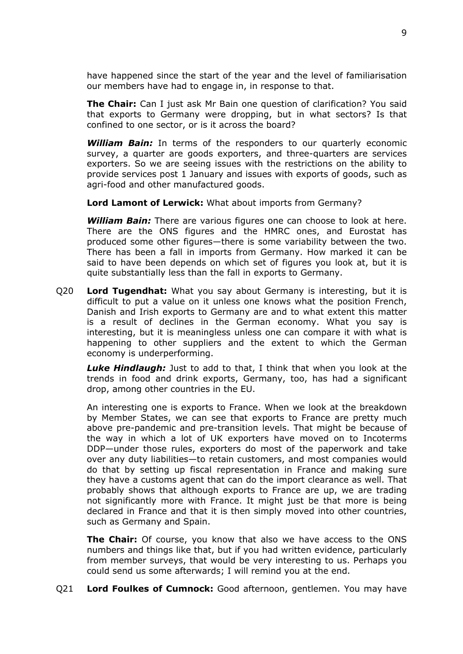have happened since the start of the year and the level of familiarisation our members have had to engage in, in response to that.

**The Chair:** Can I just ask Mr Bain one question of clarification? You said that exports to Germany were dropping, but in what sectors? Is that confined to one sector, or is it across the board?

*William Bain:* In terms of the responders to our quarterly economic survey, a quarter are goods exporters, and three-quarters are services exporters. So we are seeing issues with the restrictions on the ability to provide services post 1 January and issues with exports of goods, such as agri-food and other manufactured goods.

**Lord Lamont of Lerwick:** What about imports from Germany?

*William Bain:* There are various figures one can choose to look at here. There are the ONS figures and the HMRC ones, and Eurostat has produced some other figures—there is some variability between the two. There has been a fall in imports from Germany. How marked it can be said to have been depends on which set of figures you look at, but it is quite substantially less than the fall in exports to Germany.

Q20 **Lord Tugendhat:** What you say about Germany is interesting, but it is difficult to put a value on it unless one knows what the position French, Danish and Irish exports to Germany are and to what extent this matter is a result of declines in the German economy. What you say is interesting, but it is meaningless unless one can compare it with what is happening to other suppliers and the extent to which the German economy is underperforming.

*Luke Hindlaugh:* Just to add to that, I think that when you look at the trends in food and drink exports, Germany, too, has had a significant drop, among other countries in the EU.

An interesting one is exports to France. When we look at the breakdown by Member States, we can see that exports to France are pretty much above pre-pandemic and pre-transition levels. That might be because of the way in which a lot of UK exporters have moved on to Incoterms DDP—under those rules, exporters do most of the paperwork and take over any duty liabilities—to retain customers, and most companies would do that by setting up fiscal representation in France and making sure they have a customs agent that can do the import clearance as well. That probably shows that although exports to France are up, we are trading not significantly more with France. It might just be that more is being declared in France and that it is then simply moved into other countries, such as Germany and Spain.

**The Chair:** Of course, you know that also we have access to the ONS numbers and things like that, but if you had written evidence, particularly from member surveys, that would be very interesting to us. Perhaps you could send us some afterwards; I will remind you at the end.

Q21 **Lord Foulkes of Cumnock:** Good afternoon, gentlemen. You may have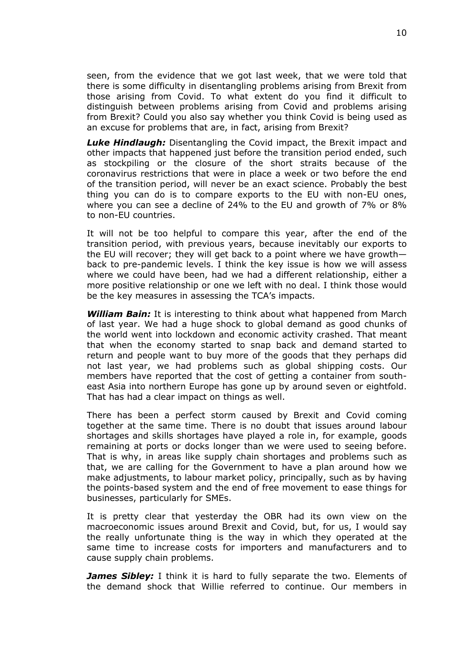seen, from the evidence that we got last week, that we were told that there is some difficulty in disentangling problems arising from Brexit from those arising from Covid. To what extent do you find it difficult to distinguish between problems arising from Covid and problems arising from Brexit? Could you also say whether you think Covid is being used as an excuse for problems that are, in fact, arising from Brexit?

*Luke Hindlaugh:* Disentangling the Covid impact, the Brexit impact and other impacts that happened just before the transition period ended, such as stockpiling or the closure of the short straits because of the coronavirus restrictions that were in place a week or two before the end of the transition period, will never be an exact science. Probably the best thing you can do is to compare exports to the EU with non-EU ones, where you can see a decline of 24% to the EU and growth of 7% or 8% to non-EU countries.

It will not be too helpful to compare this year, after the end of the transition period, with previous years, because inevitably our exports to the EU will recover; they will get back to a point where we have growth back to pre-pandemic levels. I think the key issue is how we will assess where we could have been, had we had a different relationship, either a more positive relationship or one we left with no deal. I think those would be the key measures in assessing the TCA's impacts.

*William Bain:* It is interesting to think about what happened from March of last year. We had a huge shock to global demand as good chunks of the world went into lockdown and economic activity crashed. That meant that when the economy started to snap back and demand started to return and people want to buy more of the goods that they perhaps did not last year, we had problems such as global shipping costs. Our members have reported that the cost of getting a container from southeast Asia into northern Europe has gone up by around seven or eightfold. That has had a clear impact on things as well.

There has been a perfect storm caused by Brexit and Covid coming together at the same time. There is no doubt that issues around labour shortages and skills shortages have played a role in, for example, goods remaining at ports or docks longer than we were used to seeing before. That is why, in areas like supply chain shortages and problems such as that, we are calling for the Government to have a plan around how we make adjustments, to labour market policy, principally, such as by having the points-based system and the end of free movement to ease things for businesses, particularly for SMEs.

It is pretty clear that yesterday the OBR had its own view on the macroeconomic issues around Brexit and Covid, but, for us, I would say the really unfortunate thing is the way in which they operated at the same time to increase costs for importers and manufacturers and to cause supply chain problems.

*James Sibley:* I think it is hard to fully separate the two. Elements of the demand shock that Willie referred to continue. Our members in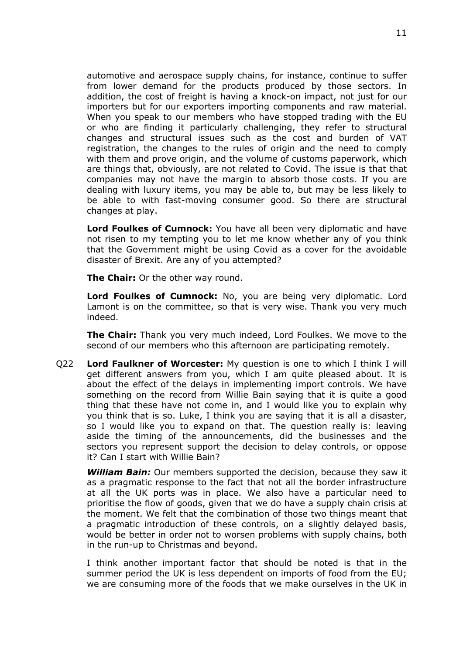automotive and aerospace supply chains, for instance, continue to suffer from lower demand for the products produced by those sectors. In addition, the cost of freight is having a knock-on impact, not just for our importers but for our exporters importing components and raw material. When you speak to our members who have stopped trading with the EU or who are finding it particularly challenging, they refer to structural changes and structural issues such as the cost and burden of VAT registration, the changes to the rules of origin and the need to comply with them and prove origin, and the volume of customs paperwork, which are things that, obviously, are not related to Covid. The issue is that that companies may not have the margin to absorb those costs. If you are dealing with luxury items, you may be able to, but may be less likely to be able to with fast-moving consumer good. So there are structural changes at play.

**Lord Foulkes of Cumnock:** You have all been very diplomatic and have not risen to my tempting you to let me know whether any of you think that the Government might be using Covid as a cover for the avoidable disaster of Brexit. Are any of you attempted?

**The Chair:** Or the other way round.

**Lord Foulkes of Cumnock:** No, you are being very diplomatic. Lord Lamont is on the committee, so that is very wise. Thank you very much indeed.

**The Chair:** Thank you very much indeed, Lord Foulkes. We move to the second of our members who this afternoon are participating remotely.

Q22 **Lord Faulkner of Worcester:** My question is one to which I think I will get different answers from you, which I am quite pleased about. It is about the effect of the delays in implementing import controls. We have something on the record from Willie Bain saying that it is quite a good thing that these have not come in, and I would like you to explain why you think that is so. Luke, I think you are saying that it is all a disaster, so I would like you to expand on that. The question really is: leaving aside the timing of the announcements, did the businesses and the sectors you represent support the decision to delay controls, or oppose it? Can I start with Willie Bain?

*William Bain:* Our members supported the decision, because they saw it as a pragmatic response to the fact that not all the border infrastructure at all the UK ports was in place. We also have a particular need to prioritise the flow of goods, given that we do have a supply chain crisis at the moment. We felt that the combination of those two things meant that a pragmatic introduction of these controls, on a slightly delayed basis, would be better in order not to worsen problems with supply chains, both in the run-up to Christmas and beyond.

I think another important factor that should be noted is that in the summer period the UK is less dependent on imports of food from the EU; we are consuming more of the foods that we make ourselves in the UK in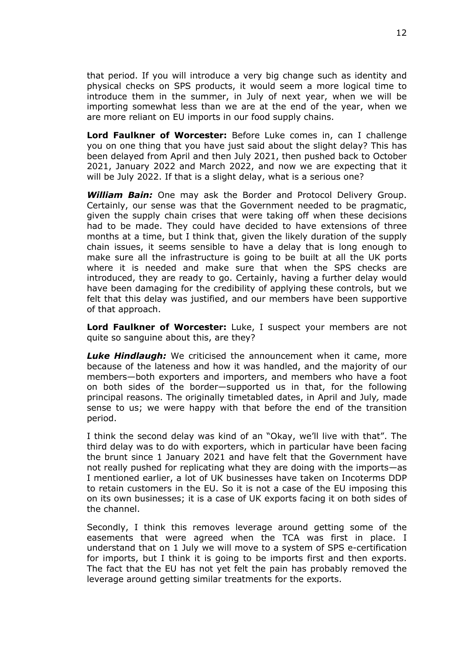that period. If you will introduce a very big change such as identity and physical checks on SPS products, it would seem a more logical time to introduce them in the summer, in July of next year, when we will be importing somewhat less than we are at the end of the year, when we are more reliant on EU imports in our food supply chains.

**Lord Faulkner of Worcester:** Before Luke comes in, can I challenge you on one thing that you have just said about the slight delay? This has been delayed from April and then July 2021, then pushed back to October 2021, January 2022 and March 2022, and now we are expecting that it will be July 2022. If that is a slight delay, what is a serious one?

*William Bain:* One may ask the Border and Protocol Delivery Group. Certainly, our sense was that the Government needed to be pragmatic, given the supply chain crises that were taking off when these decisions had to be made. They could have decided to have extensions of three months at a time, but I think that, given the likely duration of the supply chain issues, it seems sensible to have a delay that is long enough to make sure all the infrastructure is going to be built at all the UK ports where it is needed and make sure that when the SPS checks are introduced, they are ready to go. Certainly, having a further delay would have been damaging for the credibility of applying these controls, but we felt that this delay was justified, and our members have been supportive of that approach.

**Lord Faulkner of Worcester:** Luke, I suspect your members are not quite so sanguine about this, are they?

*Luke Hindlaugh:* We criticised the announcement when it came, more because of the lateness and how it was handled, and the majority of our members—both exporters and importers, and members who have a foot on both sides of the border—supported us in that, for the following principal reasons. The originally timetabled dates, in April and July*,* made sense to us; we were happy with that before the end of the transition period.

I think the second delay was kind of an "Okay, we'll live with that". The third delay was to do with exporters, which in particular have been facing the brunt since 1 January 2021 and have felt that the Government have not really pushed for replicating what they are doing with the imports—as I mentioned earlier, a lot of UK businesses have taken on Incoterms DDP to retain customers in the EU. So it is not a case of the EU imposing this on its own businesses; it is a case of UK exports facing it on both sides of the channel.

Secondly, I think this removes leverage around getting some of the easements that were agreed when the TCA was first in place. I understand that on 1 July we will move to a system of SPS e-certification for imports, but I think it is going to be imports first and then exports. The fact that the EU has not yet felt the pain has probably removed the leverage around getting similar treatments for the exports.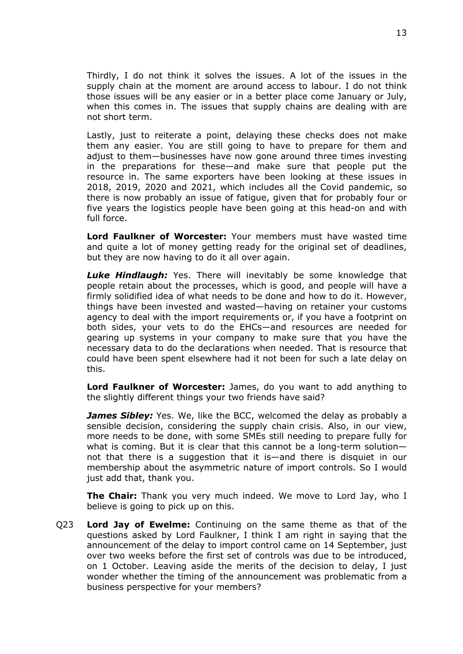Thirdly, I do not think it solves the issues. A lot of the issues in the supply chain at the moment are around access to labour. I do not think those issues will be any easier or in a better place come January or July, when this comes in. The issues that supply chains are dealing with are not short term.

Lastly, just to reiterate a point, delaying these checks does not make them any easier. You are still going to have to prepare for them and adjust to them—businesses have now gone around three times investing in the preparations for these—and make sure that people put the resource in. The same exporters have been looking at these issues in 2018, 2019, 2020 and 2021, which includes all the Covid pandemic, so there is now probably an issue of fatigue, given that for probably four or five years the logistics people have been going at this head-on and with full force.

**Lord Faulkner of Worcester:** Your members must have wasted time and quite a lot of money getting ready for the original set of deadlines, but they are now having to do it all over again.

*Luke Hindlaugh:* Yes. There will inevitably be some knowledge that people retain about the processes, which is good, and people will have a firmly solidified idea of what needs to be done and how to do it. However, things have been invested and wasted—having on retainer your customs agency to deal with the import requirements or, if you have a footprint on both sides, your vets to do the EHCs—and resources are needed for gearing up systems in your company to make sure that you have the necessary data to do the declarations when needed. That is resource that could have been spent elsewhere had it not been for such a late delay on this.

**Lord Faulkner of Worcester:** James, do you want to add anything to the slightly different things your two friends have said?

*James Sibley:* Yes. We, like the BCC, welcomed the delay as probably a sensible decision, considering the supply chain crisis. Also, in our view, more needs to be done, with some SMEs still needing to prepare fully for what is coming. But it is clear that this cannot be a long-term solution not that there is a suggestion that it is—and there is disquiet in our membership about the asymmetric nature of import controls. So I would just add that, thank you.

**The Chair:** Thank you very much indeed. We move to Lord Jay, who I believe is going to pick up on this.

Q23 **Lord Jay of Ewelme:** Continuing on the same theme as that of the questions asked by Lord Faulkner, I think I am right in saying that the announcement of the delay to import control came on 14 September, just over two weeks before the first set of controls was due to be introduced, on 1 October. Leaving aside the merits of the decision to delay, I just wonder whether the timing of the announcement was problematic from a business perspective for your members?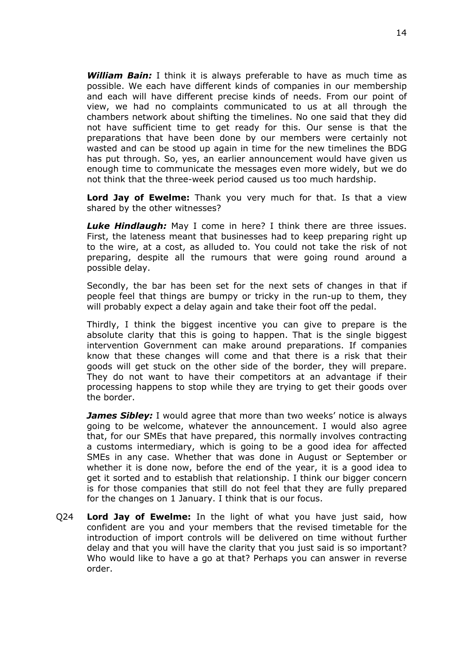*William Bain:* I think it is always preferable to have as much time as possible. We each have different kinds of companies in our membership and each will have different precise kinds of needs. From our point of view, we had no complaints communicated to us at all through the chambers network about shifting the timelines. No one said that they did not have sufficient time to get ready for this. Our sense is that the preparations that have been done by our members were certainly not wasted and can be stood up again in time for the new timelines the BDG has put through. So, yes, an earlier announcement would have given us enough time to communicate the messages even more widely, but we do not think that the three-week period caused us too much hardship.

**Lord Jay of Ewelme:** Thank you very much for that. Is that a view shared by the other witnesses?

*Luke Hindlaugh:* May I come in here? I think there are three issues. First, the lateness meant that businesses had to keep preparing right up to the wire, at a cost, as alluded to. You could not take the risk of not preparing, despite all the rumours that were going round around a possible delay.

Secondly, the bar has been set for the next sets of changes in that if people feel that things are bumpy or tricky in the run-up to them, they will probably expect a delay again and take their foot off the pedal.

Thirdly, I think the biggest incentive you can give to prepare is the absolute clarity that this is going to happen. That is the single biggest intervention Government can make around preparations. If companies know that these changes will come and that there is a risk that their goods will get stuck on the other side of the border, they will prepare. They do not want to have their competitors at an advantage if their processing happens to stop while they are trying to get their goods over the border.

*James Sibley:* I would agree that more than two weeks' notice is always going to be welcome, whatever the announcement. I would also agree that, for our SMEs that have prepared, this normally involves contracting a customs intermediary, which is going to be a good idea for affected SMEs in any case. Whether that was done in August or September or whether it is done now, before the end of the year, it is a good idea to get it sorted and to establish that relationship. I think our bigger concern is for those companies that still do not feel that they are fully prepared for the changes on 1 January. I think that is our focus.

Q24 **Lord Jay of Ewelme:** In the light of what you have just said, how confident are you and your members that the revised timetable for the introduction of import controls will be delivered on time without further delay and that you will have the clarity that you just said is so important? Who would like to have a go at that? Perhaps you can answer in reverse order.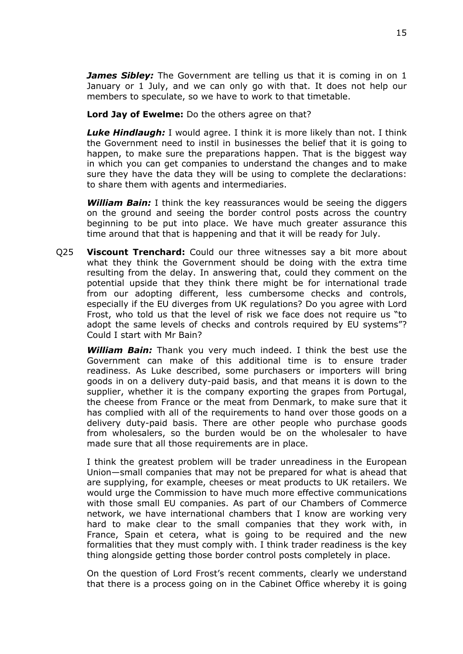*James Sibley:* The Government are telling us that it is coming in on 1 January or 1 July, and we can only go with that. It does not help our members to speculate, so we have to work to that timetable.

**Lord Jay of Ewelme:** Do the others agree on that?

*Luke Hindlaugh:* I would agree. I think it is more likely than not. I think the Government need to instil in businesses the belief that it is going to happen, to make sure the preparations happen. That is the biggest way in which you can get companies to understand the changes and to make sure they have the data they will be using to complete the declarations: to share them with agents and intermediaries.

*William Bain:* I think the key reassurances would be seeing the diggers on the ground and seeing the border control posts across the country beginning to be put into place. We have much greater assurance this time around that that is happening and that it will be ready for July.

Q25 **Viscount Trenchard:** Could our three witnesses say a bit more about what they think the Government should be doing with the extra time resulting from the delay. In answering that, could they comment on the potential upside that they think there might be for international trade from our adopting different, less cumbersome checks and controls, especially if the EU diverges from UK regulations? Do you agree with Lord Frost, who told us that the level of risk we face does not require us "to adopt the same levels of checks and controls required by EU systems"? Could I start with Mr Bain?

*William Bain:* Thank you very much indeed. I think the best use the Government can make of this additional time is to ensure trader readiness. As Luke described, some purchasers or importers will bring goods in on a delivery duty-paid basis, and that means it is down to the supplier, whether it is the company exporting the grapes from Portugal, the cheese from France or the meat from Denmark, to make sure that it has complied with all of the requirements to hand over those goods on a delivery duty-paid basis. There are other people who purchase goods from wholesalers, so the burden would be on the wholesaler to have made sure that all those requirements are in place.

I think the greatest problem will be trader unreadiness in the European Union—small companies that may not be prepared for what is ahead that are supplying, for example, cheeses or meat products to UK retailers. We would urge the Commission to have much more effective communications with those small EU companies. As part of our Chambers of Commerce network, we have international chambers that I know are working very hard to make clear to the small companies that they work with, in France, Spain et cetera, what is going to be required and the new formalities that they must comply with. I think trader readiness is the key thing alongside getting those border control posts completely in place.

On the question of Lord Frost's recent comments, clearly we understand that there is a process going on in the Cabinet Office whereby it is going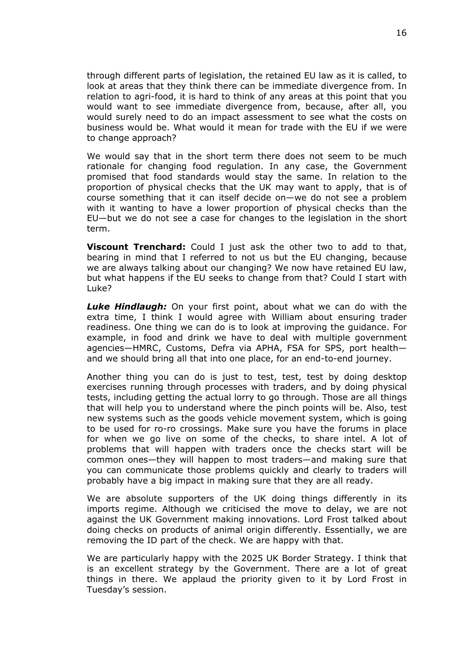through different parts of legislation, the retained EU law as it is called, to look at areas that they think there can be immediate divergence from. In relation to agri-food, it is hard to think of any areas at this point that you would want to see immediate divergence from, because, after all, you would surely need to do an impact assessment to see what the costs on business would be. What would it mean for trade with the EU if we were to change approach?

We would say that in the short term there does not seem to be much rationale for changing food regulation. In any case, the Government promised that food standards would stay the same. In relation to the proportion of physical checks that the UK may want to apply, that is of course something that it can itself decide on—we do not see a problem with it wanting to have a lower proportion of physical checks than the EU—but we do not see a case for changes to the legislation in the short term.

**Viscount Trenchard:** Could I just ask the other two to add to that, bearing in mind that I referred to not us but the EU changing, because we are always talking about our changing? We now have retained EU law, but what happens if the EU seeks to change from that? Could I start with Luke?

*Luke Hindlaugh:* On your first point, about what we can do with the extra time, I think I would agree with William about ensuring trader readiness. One thing we can do is to look at improving the guidance. For example, in food and drink we have to deal with multiple government agencies—HMRC, Customs, Defra via APHA, FSA for SPS, port health and we should bring all that into one place, for an end-to-end journey.

Another thing you can do is just to test, test, test by doing desktop exercises running through processes with traders, and by doing physical tests, including getting the actual lorry to go through. Those are all things that will help you to understand where the pinch points will be. Also, test new systems such as the goods vehicle movement system, which is going to be used for ro-ro crossings. Make sure you have the forums in place for when we go live on some of the checks, to share intel. A lot of problems that will happen with traders once the checks start will be common ones—they will happen to most traders—and making sure that you can communicate those problems quickly and clearly to traders will probably have a big impact in making sure that they are all ready.

We are absolute supporters of the UK doing things differently in its imports regime. Although we criticised the move to delay, we are not against the UK Government making innovations. Lord Frost talked about doing checks on products of animal origin differently. Essentially, we are removing the ID part of the check. We are happy with that.

We are particularly happy with the 2025 UK Border Strategy. I think that is an excellent strategy by the Government. There are a lot of great things in there. We applaud the priority given to it by Lord Frost in Tuesday's session.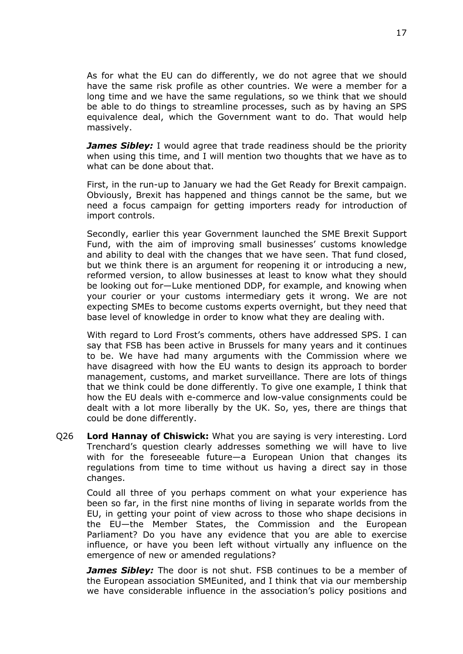As for what the EU can do differently, we do not agree that we should have the same risk profile as other countries. We were a member for a long time and we have the same regulations, so we think that we should be able to do things to streamline processes, such as by having an SPS equivalence deal, which the Government want to do. That would help massively.

*James Sibley:* I would agree that trade readiness should be the priority when using this time, and I will mention two thoughts that we have as to what can be done about that.

First, in the run-up to January we had the Get Ready for Brexit campaign. Obviously, Brexit has happened and things cannot be the same, but we need a focus campaign for getting importers ready for introduction of import controls.

Secondly, earlier this year Government launched the SME Brexit Support Fund, with the aim of improving small businesses' customs knowledge and ability to deal with the changes that we have seen. That fund closed, but we think there is an argument for reopening it or introducing a new, reformed version, to allow businesses at least to know what they should be looking out for—Luke mentioned DDP, for example, and knowing when your courier or your customs intermediary gets it wrong. We are not expecting SMEs to become customs experts overnight, but they need that base level of knowledge in order to know what they are dealing with.

With regard to Lord Frost's comments, others have addressed SPS. I can say that FSB has been active in Brussels for many years and it continues to be. We have had many arguments with the Commission where we have disagreed with how the EU wants to design its approach to border management, customs, and market surveillance. There are lots of things that we think could be done differently. To give one example, I think that how the EU deals with e-commerce and low-value consignments could be dealt with a lot more liberally by the UK. So, yes, there are things that could be done differently.

Q26 **Lord Hannay of Chiswick:** What you are saying is very interesting. Lord Trenchard's question clearly addresses something we will have to live with for the foreseeable future—a European Union that changes its regulations from time to time without us having a direct say in those changes.

Could all three of you perhaps comment on what your experience has been so far, in the first nine months of living in separate worlds from the EU, in getting your point of view across to those who shape decisions in the EU—the Member States, the Commission and the European Parliament? Do you have any evidence that you are able to exercise influence, or have you been left without virtually any influence on the emergence of new or amended regulations?

*James Sibley:* The door is not shut. FSB continues to be a member of the European association SMEunited, and I think that via our membership we have considerable influence in the association's policy positions and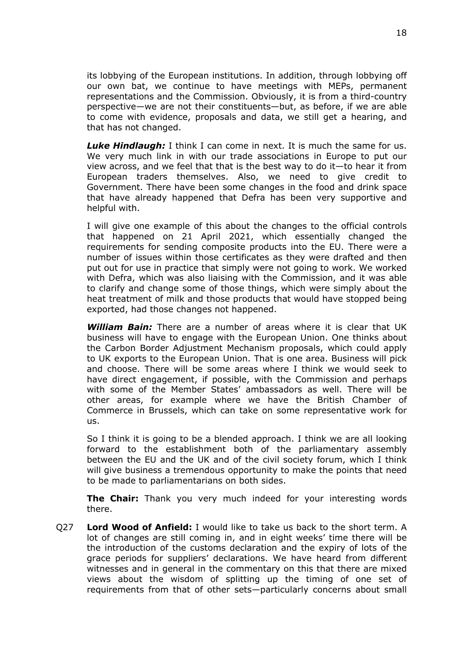its lobbying of the European institutions. In addition, through lobbying off our own bat, we continue to have meetings with MEPs, permanent representations and the Commission. Obviously, it is from a third-country perspective—we are not their constituents—but, as before, if we are able to come with evidence, proposals and data, we still get a hearing, and that has not changed.

*Luke Hindlaugh:* I think I can come in next. It is much the same for us. We very much link in with our trade associations in Europe to put our view across, and we feel that that is the best way to do it—to hear it from European traders themselves. Also, we need to give credit to Government. There have been some changes in the food and drink space that have already happened that Defra has been very supportive and helpful with.

I will give one example of this about the changes to the official controls that happened on 21 April 2021, which essentially changed the requirements for sending composite products into the EU. There were a number of issues within those certificates as they were drafted and then put out for use in practice that simply were not going to work. We worked with Defra, which was also liaising with the Commission, and it was able to clarify and change some of those things, which were simply about the heat treatment of milk and those products that would have stopped being exported, had those changes not happened.

*William Bain:* There are a number of areas where it is clear that UK business will have to engage with the European Union. One thinks about the Carbon Border Adjustment Mechanism proposals, which could apply to UK exports to the European Union. That is one area. Business will pick and choose. There will be some areas where I think we would seek to have direct engagement, if possible, with the Commission and perhaps with some of the Member States' ambassadors as well. There will be other areas, for example where we have the British Chamber of Commerce in Brussels, which can take on some representative work for us.

So I think it is going to be a blended approach. I think we are all looking forward to the establishment both of the parliamentary assembly between the EU and the UK and of the civil society forum, which I think will give business a tremendous opportunity to make the points that need to be made to parliamentarians on both sides.

**The Chair:** Thank you very much indeed for your interesting words there.

Q27 **Lord Wood of Anfield:** I would like to take us back to the short term. A lot of changes are still coming in, and in eight weeks' time there will be the introduction of the customs declaration and the expiry of lots of the grace periods for suppliers' declarations. We have heard from different witnesses and in general in the commentary on this that there are mixed views about the wisdom of splitting up the timing of one set of requirements from that of other sets—particularly concerns about small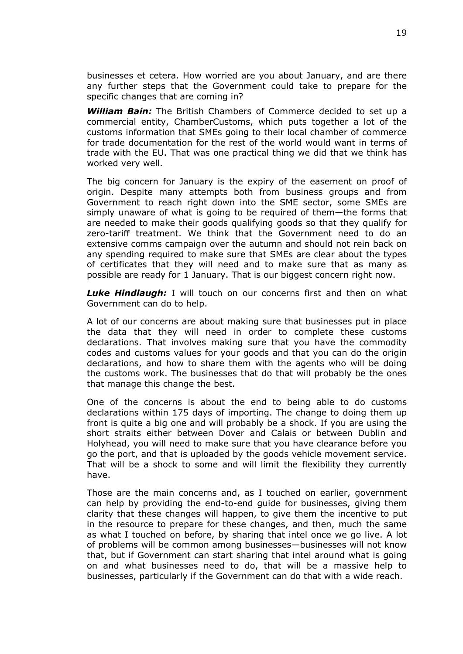businesses et cetera. How worried are you about January, and are there any further steps that the Government could take to prepare for the specific changes that are coming in?

*William Bain:* The British Chambers of Commerce decided to set up a commercial entity, ChamberCustoms, which puts together a lot of the customs information that SMEs going to their local chamber of commerce for trade documentation for the rest of the world would want in terms of trade with the EU. That was one practical thing we did that we think has worked very well.

The big concern for January is the expiry of the easement on proof of origin. Despite many attempts both from business groups and from Government to reach right down into the SME sector, some SMEs are simply unaware of what is going to be required of them—the forms that are needed to make their goods qualifying goods so that they qualify for zero-tariff treatment. We think that the Government need to do an extensive comms campaign over the autumn and should not rein back on any spending required to make sure that SMEs are clear about the types of certificates that they will need and to make sure that as many as possible are ready for 1 January. That is our biggest concern right now.

*Luke Hindlaugh:* I will touch on our concerns first and then on what Government can do to help.

A lot of our concerns are about making sure that businesses put in place the data that they will need in order to complete these customs declarations. That involves making sure that you have the commodity codes and customs values for your goods and that you can do the origin declarations, and how to share them with the agents who will be doing the customs work. The businesses that do that will probably be the ones that manage this change the best.

One of the concerns is about the end to being able to do customs declarations within 175 days of importing. The change to doing them up front is quite a big one and will probably be a shock. If you are using the short straits either between Dover and Calais or between Dublin and Holyhead, you will need to make sure that you have clearance before you go the port, and that is uploaded by the goods vehicle movement service. That will be a shock to some and will limit the flexibility they currently have.

Those are the main concerns and, as I touched on earlier, government can help by providing the end-to-end guide for businesses, giving them clarity that these changes will happen, to give them the incentive to put in the resource to prepare for these changes, and then, much the same as what I touched on before, by sharing that intel once we go live. A lot of problems will be common among businesses—businesses will not know that, but if Government can start sharing that intel around what is going on and what businesses need to do, that will be a massive help to businesses, particularly if the Government can do that with a wide reach.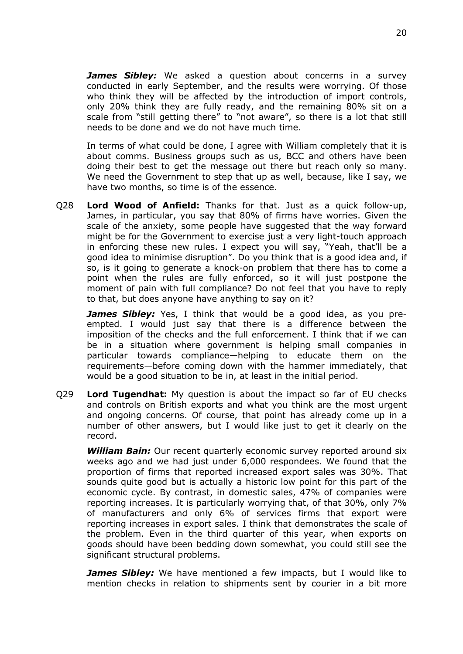*James Sibley:* We asked a question about concerns in a survey conducted in early September, and the results were worrying. Of those who think they will be affected by the introduction of import controls, only 20% think they are fully ready, and the remaining 80% sit on a scale from "still getting there" to "not aware", so there is a lot that still needs to be done and we do not have much time.

In terms of what could be done, I agree with William completely that it is about comms. Business groups such as us, BCC and others have been doing their best to get the message out there but reach only so many. We need the Government to step that up as well, because, like I say, we have two months, so time is of the essence.

Q28 **Lord Wood of Anfield:** Thanks for that. Just as a quick follow-up, James, in particular, you say that 80% of firms have worries. Given the scale of the anxiety, some people have suggested that the way forward might be for the Government to exercise just a very light-touch approach in enforcing these new rules. I expect you will say, "Yeah, that'll be a good idea to minimise disruption". Do you think that is a good idea and, if so, is it going to generate a knock-on problem that there has to come a point when the rules are fully enforced, so it will just postpone the moment of pain with full compliance? Do not feel that you have to reply to that, but does anyone have anything to say on it?

*James Sibley:* Yes, I think that would be a good idea, as you preempted. I would just say that there is a difference between the imposition of the checks and the full enforcement. I think that if we can be in a situation where government is helping small companies in particular towards compliance—helping to educate them on the requirements—before coming down with the hammer immediately, that would be a good situation to be in, at least in the initial period.

Q29 **Lord Tugendhat:** My question is about the impact so far of EU checks and controls on British exports and what you think are the most urgent and ongoing concerns. Of course, that point has already come up in a number of other answers, but I would like just to get it clearly on the record.

*William Bain:* Our recent quarterly economic survey reported around six weeks ago and we had just under 6,000 respondees. We found that the proportion of firms that reported increased export sales was 30%. That sounds quite good but is actually a historic low point for this part of the economic cycle. By contrast, in domestic sales, 47% of companies were reporting increases. It is particularly worrying that, of that 30%, only 7% of manufacturers and only 6% of services firms that export were reporting increases in export sales. I think that demonstrates the scale of the problem. Even in the third quarter of this year, when exports on goods should have been bedding down somewhat, you could still see the significant structural problems.

*James Sibley:* We have mentioned a few impacts, but I would like to mention checks in relation to shipments sent by courier in a bit more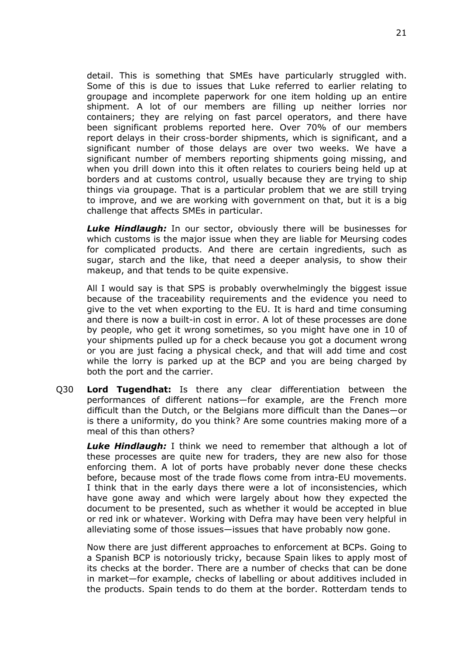detail. This is something that SMEs have particularly struggled with. Some of this is due to issues that Luke referred to earlier relating to groupage and incomplete paperwork for one item holding up an entire shipment. A lot of our members are filling up neither lorries nor containers; they are relying on fast parcel operators, and there have been significant problems reported here. Over 70% of our members report delays in their cross-border shipments, which is significant, and a significant number of those delays are over two weeks. We have a significant number of members reporting shipments going missing, and when you drill down into this it often relates to couriers being held up at borders and at customs control, usually because they are trying to ship things via groupage. That is a particular problem that we are still trying to improve, and we are working with government on that, but it is a big challenge that affects SMEs in particular.

*Luke Hindlaugh:* In our sector, obviously there will be businesses for which customs is the major issue when they are liable for Meursing codes for complicated products. And there are certain ingredients, such as sugar, starch and the like, that need a deeper analysis, to show their makeup, and that tends to be quite expensive.

All I would say is that SPS is probably overwhelmingly the biggest issue because of the traceability requirements and the evidence you need to give to the vet when exporting to the EU. It is hard and time consuming and there is now a built-in cost in error. A lot of these processes are done by people, who get it wrong sometimes, so you might have one in 10 of your shipments pulled up for a check because you got a document wrong or you are just facing a physical check, and that will add time and cost while the lorry is parked up at the BCP and you are being charged by both the port and the carrier.

Q30 **Lord Tugendhat:** Is there any clear differentiation between the performances of different nations—for example, are the French more difficult than the Dutch, or the Belgians more difficult than the Danes—or is there a uniformity, do you think? Are some countries making more of a meal of this than others?

*Luke Hindlaugh:* I think we need to remember that although a lot of these processes are quite new for traders, they are new also for those enforcing them. A lot of ports have probably never done these checks before, because most of the trade flows come from intra-EU movements. I think that in the early days there were a lot of inconsistencies, which have gone away and which were largely about how they expected the document to be presented, such as whether it would be accepted in blue or red ink or whatever. Working with Defra may have been very helpful in alleviating some of those issues—issues that have probably now gone.

Now there are just different approaches to enforcement at BCPs. Going to a Spanish BCP is notoriously tricky, because Spain likes to apply most of its checks at the border. There are a number of checks that can be done in market—for example, checks of labelling or about additives included in the products. Spain tends to do them at the border. Rotterdam tends to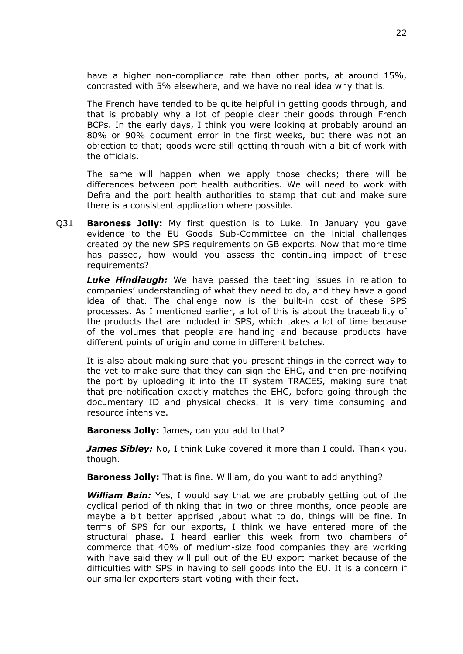have a higher non-compliance rate than other ports, at around 15%, contrasted with 5% elsewhere, and we have no real idea why that is.

The French have tended to be quite helpful in getting goods through, and that is probably why a lot of people clear their goods through French BCPs. In the early days, I think you were looking at probably around an 80% or 90% document error in the first weeks, but there was not an objection to that; goods were still getting through with a bit of work with the officials.

The same will happen when we apply those checks; there will be differences between port health authorities. We will need to work with Defra and the port health authorities to stamp that out and make sure there is a consistent application where possible.

Q31 **Baroness Jolly:** My first question is to Luke. In January you gave evidence to the EU Goods Sub-Committee on the initial challenges created by the new SPS requirements on GB exports. Now that more time has passed, how would you assess the continuing impact of these requirements?

*Luke Hindlaugh:* We have passed the teething issues in relation to companies' understanding of what they need to do, and they have a good idea of that. The challenge now is the built-in cost of these SPS processes. As I mentioned earlier, a lot of this is about the traceability of the products that are included in SPS, which takes a lot of time because of the volumes that people are handling and because products have different points of origin and come in different batches.

It is also about making sure that you present things in the correct way to the vet to make sure that they can sign the EHC, and then pre-notifying the port by uploading it into the IT system TRACES, making sure that that pre-notification exactly matches the EHC, before going through the documentary ID and physical checks. It is very time consuming and resource intensive.

**Baroness Jolly:** James, can you add to that?

*James Sibley:* No, I think Luke covered it more than I could. Thank you, though.

**Baroness Jolly:** That is fine. William, do you want to add anything?

*William Bain:* Yes, I would say that we are probably getting out of the cyclical period of thinking that in two or three months, once people are maybe a bit better apprised ,about what to do, things will be fine. In terms of SPS for our exports, I think we have entered more of the structural phase. I heard earlier this week from two chambers of commerce that 40% of medium-size food companies they are working with have said they will pull out of the EU export market because of the difficulties with SPS in having to sell goods into the EU. It is a concern if our smaller exporters start voting with their feet.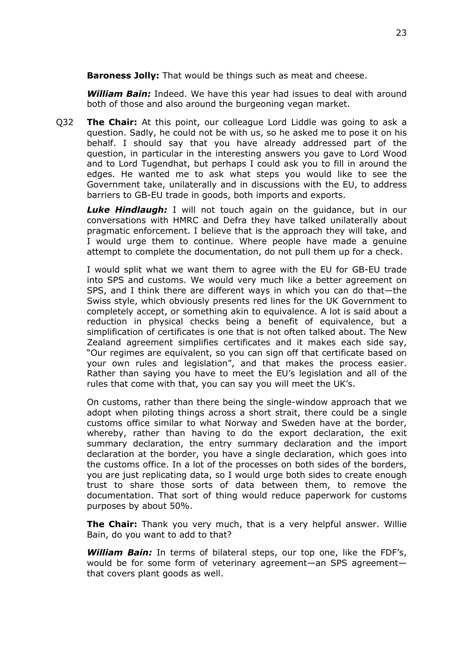**Baroness Jolly:** That would be things such as meat and cheese.

*William Bain:* Indeed. We have this year had issues to deal with around both of those and also around the burgeoning vegan market.

Q32 **The Chair:** At this point, our colleague Lord Liddle was going to ask a question. Sadly, he could not be with us, so he asked me to pose it on his behalf. I should say that you have already addressed part of the question, in particular in the interesting answers you gave to Lord Wood and to Lord Tugendhat, but perhaps I could ask you to fill in around the edges. He wanted me to ask what steps you would like to see the Government take, unilaterally and in discussions with the EU, to address barriers to GB-EU trade in goods, both imports and exports.

*Luke Hindlaugh:* I will not touch again on the guidance, but in our conversations with HMRC and Defra they have talked unilaterally about pragmatic enforcement. I believe that is the approach they will take, and I would urge them to continue. Where people have made a genuine attempt to complete the documentation, do not pull them up for a check.

I would split what we want them to agree with the EU for GB-EU trade into SPS and customs. We would very much like a better agreement on SPS, and I think there are different ways in which you can do that—the Swiss style, which obviously presents red lines for the UK Government to completely accept, or something akin to equivalence. A lot is said about a reduction in physical checks being a benefit of equivalence, but a simplification of certificates is one that is not often talked about. The New Zealand agreement simplifies certificates and it makes each side say, "Our regimes are equivalent, so you can sign off that certificate based on your own rules and legislation", and that makes the process easier. Rather than saying you have to meet the EU's legislation and all of the rules that come with that, you can say you will meet the UK's.

On customs, rather than there being the single-window approach that we adopt when piloting things across a short strait, there could be a single customs office similar to what Norway and Sweden have at the border, whereby, rather than having to do the export declaration, the exit summary declaration, the entry summary declaration and the import declaration at the border, you have a single declaration, which goes into the customs office. In a lot of the processes on both sides of the borders, you are just replicating data, so I would urge both sides to create enough trust to share those sorts of data between them, to remove the documentation. That sort of thing would reduce paperwork for customs purposes by about 50%.

**The Chair:** Thank you very much, that is a very helpful answer. Willie Bain, do you want to add to that?

*William Bain:* In terms of bilateral steps, our top one, like the FDF's, would be for some form of veterinary agreement—an SPS agreement that covers plant goods as well.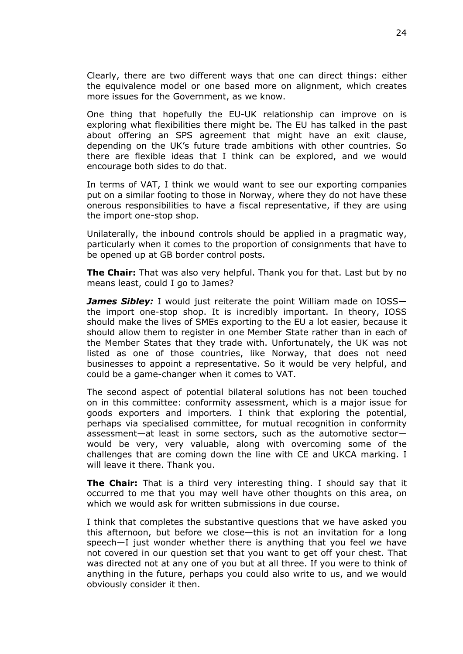Clearly, there are two different ways that one can direct things: either the equivalence model or one based more on alignment, which creates more issues for the Government, as we know.

One thing that hopefully the EU-UK relationship can improve on is exploring what flexibilities there might be. The EU has talked in the past about offering an SPS agreement that might have an exit clause, depending on the UK's future trade ambitions with other countries. So there are flexible ideas that I think can be explored, and we would encourage both sides to do that.

In terms of VAT, I think we would want to see our exporting companies put on a similar footing to those in Norway, where they do not have these onerous responsibilities to have a fiscal representative, if they are using the import one-stop shop.

Unilaterally, the inbound controls should be applied in a pragmatic way, particularly when it comes to the proportion of consignments that have to be opened up at GB border control posts.

**The Chair:** That was also very helpful. Thank you for that. Last but by no means least, could I go to James?

*James Sibley:* I would just reiterate the point William made on IOSS the import one-stop shop. It is incredibly important. In theory, IOSS should make the lives of SMEs exporting to the EU a lot easier, because it should allow them to register in one Member State rather than in each of the Member States that they trade with. Unfortunately, the UK was not listed as one of those countries, like Norway, that does not need businesses to appoint a representative. So it would be very helpful, and could be a game-changer when it comes to VAT.

The second aspect of potential bilateral solutions has not been touched on in this committee: conformity assessment, which is a major issue for goods exporters and importers. I think that exploring the potential, perhaps via specialised committee, for mutual recognition in conformity assessment—at least in some sectors, such as the automotive sector would be very, very valuable, along with overcoming some of the challenges that are coming down the line with CE and UKCA marking. I will leave it there. Thank you.

**The Chair:** That is a third very interesting thing. I should say that it occurred to me that you may well have other thoughts on this area, on which we would ask for written submissions in due course.

I think that completes the substantive questions that we have asked you this afternoon, but before we close—this is not an invitation for a long speech—I just wonder whether there is anything that you feel we have not covered in our question set that you want to get off your chest. That was directed not at any one of you but at all three. If you were to think of anything in the future, perhaps you could also write to us, and we would obviously consider it then.